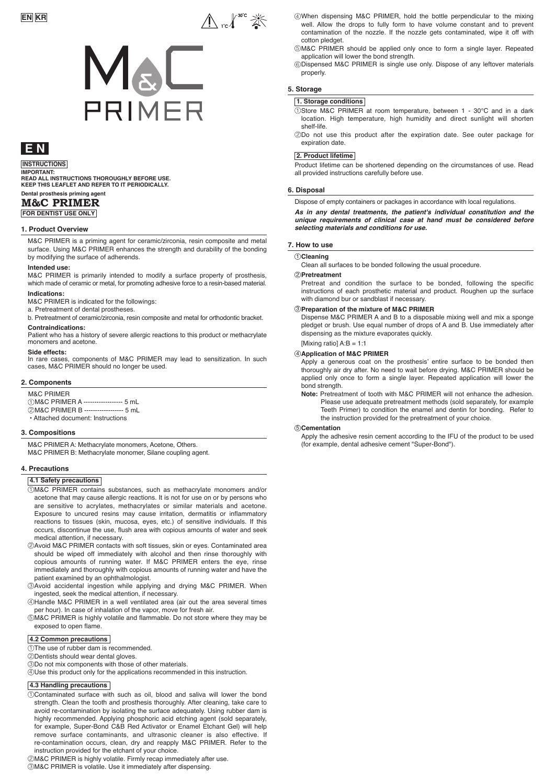

# **E N**

# **INSTRUCTIONS**

**IMPORTANT: READ ALL INSTRUCTIONS THOROUGHLY BEFORE USE. KEEP THIS LEAFLET AND REFER TO IT PERIODICALLY.** 

#### **Dental prosthesis priming agent M&C PRIMER**

**FOR DENTIST USE ONLY**

#### **1. Product Overview**

M&C PRIMER is a priming agent for ceramic/zirconia, resin composite and metal surface. Using M&C PRIMER enhances the strength and durability of the bonding by modifying the surface of adherends.

#### **Intended use:**

M&C PRIMER is primarily intended to modify a surface property of prosthesis, which made of ceramic or metal, for promoting adhesive force to a resin-based material.

#### **Indications:**

M&C PRIMER is indicated for the followings:

a. Pretreatment of dental prostheses.

b. Pretreatment of ceramic/zirconia, resin composite and metal for orthodontic bracket.

#### **Contraindications:**

Patient who has a history of severe allergic reactions to this product or methacrylate monomers and acetone.

#### **Side effects:**

In rare cases, components of M&C PRIMER may lead to sensitization. In such m rare eases, components of mace in time.

#### **2. Components**

M&C PRIMER M&C PRIMER A ------------------ 5 mL 1 M&C PRIMER B ------------------ 5 mL 2 • Attached document: Instructions

#### **3. Compositions**

M&C PRIMER A: Methacrylate monomers, Acetone, Others. M&C PRIMER B: Methacrylate monomer, Silane coupling agent.

#### **4. Precautions**

**4.1 Safety precautions**

- M&C PRIMER contains substances, such as methacrylate monomers and/or 1 acetone that may cause allergic reactions. It is not for use on or by persons who are sensitive to acrylates, methacrylates or similar materials and acetone. Exposure to uncured resins may cause irritation, dermatitis or inflammatory reactions to tissues (skin, mucosa, eyes, etc.) of sensitive individuals. If this occurs, discontinue the use, flush area with copious amounts of water and seek medical attention, if necessary.
- Avoid M&C PRIMER contacts with soft tissues, skin or eyes. Contaminated area 2 should be wiped off immediately with alcohol and then rinse thoroughly with copious amounts of running water. If M&C PRIMER enters the eye, rinse immediately and thoroughly with copious amounts of running water and have the patient examined by an ophthalmologist.
- Avoid accidental ingestion while applying and drying M&C PRIMER. When 3 ingested, seek the medical attention, if necessary.
- Handle M&C PRIMER in a well ventilated area (air out the area several times 4 per hour). In case of inhalation of the vapor, move for fresh air.

M&C PRIMER is highly volatile and flammable. Do not store where they may be 5 exposed to open flame.

#### **4.2 Common precautions**

 $\cup$ The use of rubber dam is recommended.

- Dentists should wear dental gloves. 2
- Do not mix components with those of other materials. 3

 $\oplus$ Use this product only for the applications recommended in this instruction.

#### **4.3 Handling precautions**

Contaminated surface with such as oil, blood and saliva will lower the bond 1 strength. Clean the tooth and prosthesis thoroughly. After cleaning, take care to avoid re-contamination by isolating the surface adequately. Using rubber dam is highly recommended. Applying phosphoric acid etching agent (sold separately, for example, Super-Bond C&B Red Activator or Enamel Etchant Gel) will help remove surface contaminants, and ultrasonic cleaner is also effective. If re-contamination occurs, clean, dry and reapply M&C PRIMER. Refer to the instruction provided for the etchant of your choice.

M&C PRIMER is highly volatile. Firmly recap immediately after use. 2 M&C PRIMER is volatile. Use it immediately after dispensing. 3

When dispensing M&C PRIMER, hold the bottle perpendicular to the mixing well. Allow the drops to fully form to have volume constant and to prevent contamination of the nozzle. If the nozzle gets contaminated, wipe it off with cotton pledget.

M&C PRIMER should be applied only once to form a single layer. Repeated 5 application will lower the bond strength.

Dispensed M&C PRIMER is single use only. Dispose of any leftover materials 6 properly.

#### **5. Storage**

#### **1. Storage conditions**

Store M&C PRIMER at room temperature, between 1 - 30℃ and in a dark 1 location. High temperature, high humidity and direct sunlight will shorten shelf-life.

Do not use this product after the expiration date. See outer package for 2 expiration date.

#### **2. Product lifetime**

Product lifetime can be shortened depending on the circumstances of use. Read all provided instructions carefully before use.

#### **6. Disposal**

Dispose of empty containers or packages in accordance with local regulations.

*As in any dental treatments, the patient's individual constitution and the unique requirements of clinical case at hand must be considered before selecting materials and conditions for use.*

#### **7. How to use**

1 **Cleaning** Clean all surfaces to be bonded following the usual procedure.

#### **Pretreatment** 2

Pretreat and condition the surface to be bonded, following the specific instructions of each prosthetic material and product. Roughen up the surface with diamond bur or sandblast if necessary

#### 3 **Preparation of the mixture of M&C PRIMER**

Dispense M&C PRIMER A and B to a disposable mixing well and mix a sponge pledget or brush. Use equal number of drops of A and B. Use immediately after dispensing as the mixture evaporates quickly.

#### $[Mixina ratio] A:B = 1:1$

#### 4 **Application of M&C PRIMER**

Apply a generous coat on the prosthesis' entire surface to be bonded then thoroughly air dry after. No need to wait before drying. M&C PRIMER should be applied only once to form a single layer. Repeated application will lower the bond strength.

**Note:** Pretreatment of tooth with M&C PRIMER will not enhance the adhesion. Please use adequate pretreatment methods (sold separately, for example Teeth Primer) to condition the enamel and dentin for bonding. Refer to the instruction provided for the pretreatment of your choice.

#### 5 **Cementation**

Apply the adhesive resin cement according to the IFU of the product to be used (for example, dental adhesive cement "Super-Bond").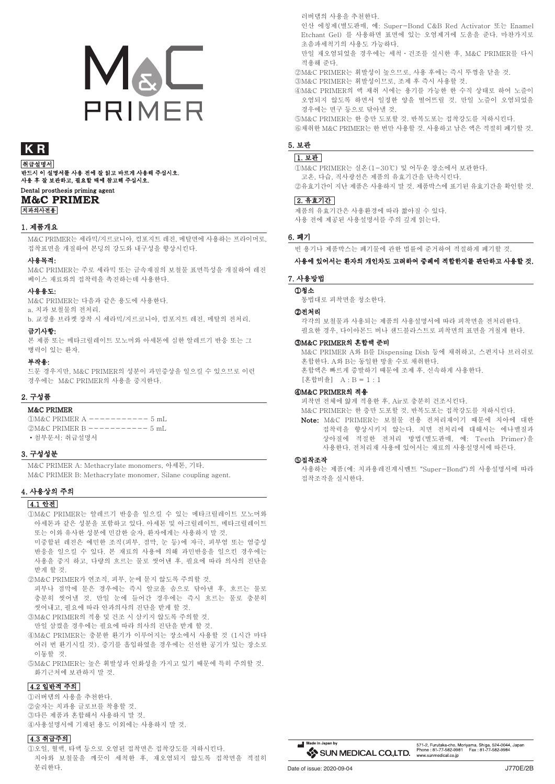# MaL **PRIMER**

# KR

취급설명서 .<br>반드시 이 설명서를 사용 전에 잘 읽고 바르게 사용해 주십시오. Dental prosthesis priming agent

### **M&C PRIMER** 치과의사전용

#### 1. 제품개요

M&C PRIMER는 세라믹/지르코니아, 컴포지트 레진, 메탈면에 사용하는 프라이머로, 접착표면을 개질하여 본딩의 강도와 내구성을 향상시킨다.

#### 사용목적:

M&C PRIMER는 주로 세라믹 또는 금속재질의 보철물 표면특성을 개질하여 레진 베이스 재료와의 접착력을 촉진하는데 사용한다.

#### 사용용도:

M&C PRIMER는 다음과 같은 용도에 사용한다.

a. 치과 보철물의 전처리. b. 교정용 브라켓 장착 시 세라믹/지르코니아, 컴포지트 레진, 메탈의 전처리.

#### 금기사항:

본 제품 또는 메타크릴레이트 모노머와 아세톤에 심한 알레르기 반응 또는 그 병력이 있는 환자.

#### 부작용:

드문 경우지만, M&C PRIMER의 성분이 과민증상을 일으킬 수 있으므로 이런 경우에는 M&C PRIMER의 사용을 중지한다.

#### 2. 구성품

#### M&C PRIMER

 $\widehat{N}M\&C$  PRIMER A  $------5$  mL  $QM&C$  PRIMER  $B$  ---------- 5 mL •첨부문서: 취급설명서

#### 3. 구성성분

M&C PRIMER A: Methacrylate monomers, 아세톤, 기타. M&C PRIMER B: Methacrylate monomer, Silane coupling agent.

#### 4. 사용상의 주의

#### 4.1 안전

- ①M&C PRIMER는 알레르기 반응을 일으킬 수 있는 메타크릴레이트 모노머와 아세톤과 같은 성분을 포함하고 있다. 아세톤 및 아크릴레이트, 메타크릴레이트 또는 이와 유사한 성분에 민감한 술자, 환자에게는 사용하지 말 것. 미중합된 레진은 예민한 조직(피부, 점막, 눈 등)에 자극, 피부염 또는 염증성 반응을 일으킬 수 있다. 본 재료의 사용에 의해 과민반응을 일으킨 경우에는 사용을 중지 하고, 다량의 흐르는 물로 씻어낸 후, 필요에 따라 의사의 진단을
- 받게 할 것. ②M&C PRIMER가 연조직, 피부, 눈에 묻지 않도록 주의할 것. 피부나 점막에 묻은 경우에는 즉시 알코올 솜으로 닦아낸 후, 흐르는 물로
- 충분히 씻어낼 것. 만일 눈에 들어간 경우에는 즉시 흐르는 물로 충분히 씻어내고, 필요에 따라 안과의사의 진단을 받게 할 것.
- ③M&C PRIMER의 적용 및 건조 시 삼키지 않도록 주의할 것.
- 만일 삼켰을 경우에는 필요에 따라 의사의 진단을 받게 할 것. ④M&C PRIMER는 충분한 환기가 이루어지는 장소에서 사용할 것 (1시간 마다 여러 번 환기시킬 것). 증기를 흡입하였을 경우에는 신선한 공기가 있는 장소로 이동할 것.
- ⑤M&C PRIMER는 높은 휘발성과 인화성을 가지고 있기 때문에 특히 주의할 것. 화기근처에 보관하지 말 것.

### 4.2 일반적 주의

①러버댐의 사용을 추천한다. ②술자는 치과용 글로브를 착용할 것. ③다른 제품과 혼합해서 사용하지 말 것. ④사용설명서에 기재된 용도 이외에는 사용하지 말 것.

### 4.3 취급주의

①오일, 혈액, 타액 등으로 오염된 접착면은 접착강도를 저하시킨다. 치아와 보철물을 깨끗이 세척한 후, 재오염되지 않도록 접착면을 적절히 분리한다.

러버댐의 사용을 추천한다.

인산 에칭제(별도판매, 예: Super-Bond C&B Red Activator 또는 Enamel Etchant Gel) 를 사용하면 표면에 있는 오염제거에 도움을 준다. 마찬가지로 초음파세척기의 사용도 가능하다.

만일 재오염되었을 경우에는 세척ㆍ건조를 실시한 후, M&C PRIMER를 다시 적용해 준다.

②M&C PRIMER는 휘발성이 높으므로, 사용 후에는 즉시 뚜껑을 닫을 것. ③M&C PRIMER는 휘발성이므로, 조제 후 즉시 사용할 것.

④M&C PRIMER의 액 채취 시에는 용기를 가능한 한 수직 상태로 하여 노즐이 오염되지 않도록 하면서 일정한 양을 떨어뜨릴 것. 만일 노즐이 오염되었을 경우에는 면구 등으로 닦아낼 것.

⑤M&C PRIMER는 한 층만 도포할 것. 반복도포는 접착강도를 저하시킨다.

⑥채취한 M&C PRIMER는 한 번만 사용할 것. 사용하고 남은 액은 적절히 폐기할 것.

## 5. 보관

 1. 보관 ①M&C PRIMER는 실온(1-30℃) 및 어두운 장소에서 보관한다. 고온, 다습, 직사광선은 제품의 유효기간을 단축시킨다. ②유효기간이 지난 제품은 사용하지 말 것. 제품박스에 표기된 유효기간을 확인할 것.

#### 2. 유효기간

제품의 유효기간은 사용환경에 따라 짧아질 수 있다. 사용 전에 제공된 사용설명서를 주의 깊게 읽는다.

#### 6. 폐기

빈 용기나 제품박스는 폐기물에 관한 법률에 준거하여 적절하게 폐기할 것.

#### 사용에 있어서는 환자의 개인차도 고려하여 증례에 적합한지를 판단하고 사용할 것.

#### 7. 사용방법

①청소 통법대로 피착면을 청소한다.

#### ②전처리

각각의 보철물과 사용되는 제품의 사용설명서에 따라 피착면을 전처리한다. 필요한 경우, 다이아몬드 버나 샌드블라스트로 피착면의 표면을 거칠게 한다.

#### ③M&C PRIMER의 혼합액 준비

M&C PRIMER A와 B를 Dispensing Dish 등에 채취하고, 스펀지나 브러쉬로 혼합한다. A와 B는 동일한 방울 수로 채취한다. 혼합액은 빠르게 증발하기 때문에 조제 후, 신속하게 사용한다. [혼합비율] A : B = 1 : 1

#### ④M&C PRIMER의 적용

피착면 전체에 얇게 적용한 후, Air로 충분히 건조시킨다.

- M&C PRIMER는 한 층만 도포할 것. 반복도포는 접착강도를 저하시킨다.
- Note: M&C PRIMER는 보철물 전용 전처리재이기 때문에 치아에 대한 접착력을 향상시키지 않는다. 치면 전처리에 대해서는 에나멜질과 상아질에 적절한 전처리 방법(별도판매, 예: Teeth Primer)을 사용한다. 전처리재 사용에 있어서는 재료의 사용설명서에 따른다.

#### ⑤접착조작

사용하는 제품(예: 치과용레진계시멘트 "Super-Bond")의 사용설명서에 따라 접착조작을 실시한다.



www.sunmedical.co.jp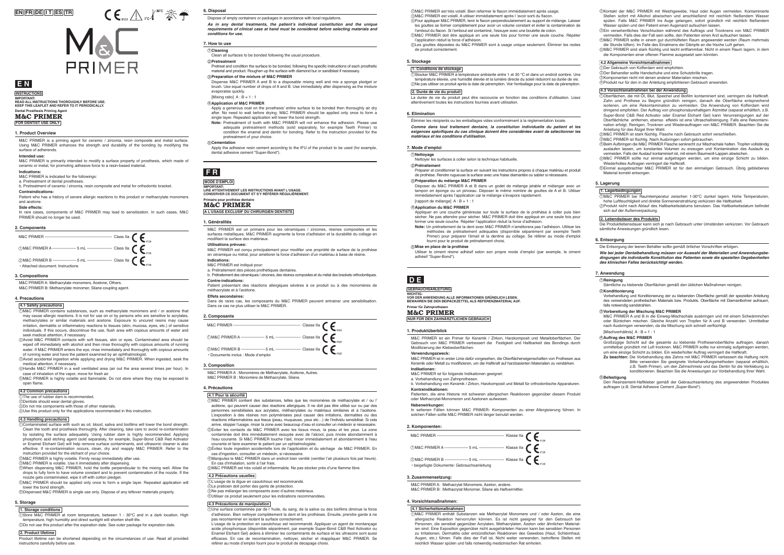### **EN FR DE I T ES TR**



M&C PRIMER A: Methacrylate monomers, Acetone, Others.

M&C PRIMER B: Methacrylate monomer, Silane coupling agent.

M&C PRIMER A: Methacrylat Monomere, Azeton, andere. M&C PRIMER B: Methacrylat Monomer, Silane als Haftvermittler

#### **3. Compositions**

M&C PRIMER A : Monomères de Méthacrylate, Acétone, Autres. M&C PRIMER B : Monomère de Méthacrylate, Silane.

**3. Composition**

#### **3. Zusammensetzung:**

**Dental Prosthesis Priming Agent IMPORTANT: READ ALL INSTRUCTIONS THOROUGHLY BEFORE USE. KEEP THIS LEAFLET AND REFER TO IT PERIODICALLY.**  Dispose of empty containers or packages in accordance with local regulations.

*As* **in any dental treatments, the patient's individual constitution and the unique requirements of clinical case at hand must be considered before selecting materials and** 

**conditions for use.**

**6. Disposal**

# **E N**

Using M&C PRIMER enhances the strength and durability of the bonding by modifying the surface of adherends.

**M&C PRIMER FOR DENTIST USE ONLY**

**INSTRUCTIONS**

**F R**

**Primaire pour prothèse dentaire M&C PRIMER**

**A L'USAGE EXCLUSIF DU CHIRURGIEN DENTISTE**

**MODE D'EMPLOI**

In rare cases, components of M&C PRIMER may lead to sensitization. In such cases, M&C PRIMER should no longer be used.

### **D E**

#### **Primer für Zahnprothesen**

**M&C PRIMER**

**NUR FÜR DEN ZAHNÄRZTLICHEN GEBRAUCH**

#### **GEBRAUCHSANLEITUNG**

WICHTIG:<br>VOR DER ANWENDUNG ALLE INFORMATIONEN GRÜNDLICH LESEN.<br>BEWAHREN SIE DEN BEIPACKZETTEL ALS REFERENZMATERIAL AUF.

# M&C PRIMER is a priming agent for ceramic / zirconia, resin composite and metal surface.

#### **Intended use:**

M&C PRIMER is primarily intended to modify a surface property of prosthesis, which made of ceramic or metal, for promoting adhesive force to a resin-based material. **Indications:**

M&C PRIMER is indicated for the followings: a. Pretreatment of dental prostheses.

b. Pretreatment of ceramic / zirconia, resin composite and metal for orthodontic bracket.

#### **Contraindications:**

Patient who has a history of severe allergic reactions to this product or methacrylate monomers and acetone.

#### **Side effects:**

#### **1. Product Overview**

M&C PRIMER est un primaire pour les céramiques / zircones, résines composites et les surfaces métalliques. M&C PRIMER augmente la force d'adhésion et la durabilité du collage en

evaporates quickly.  $[Mixina ratio] A : B = 1 : 1$ 

modifiant la surface des matériaux. **Utilisations prévues:**

M&C PRIMER est conçu principalement pour modifier une propriété de surface de la prothèse en céramique ou métal, pour améliorer la force d'adhésion d'un matériau à base de résine.

**Indications:**

M&C PRIMER est indiqué pour:

a. Prétraitement des pièces prothétiques dentaires.

Dans de railes cas, les composants du mais

b. Prétraitement des céramiques / zircones, des résines composites et du métal des brackets orthodontiques.

**Contre-indications:**

Patient présentant des réactions allergiques sévères à ce produit ou à des monomères de

méthacrylate et à l'acétone. **Effets secondaires:**

Dans de rares cas, les composants du M&C PRIMER peuvent entrainer une sensibilisation.

**1. Généralités**

M&C PRIMER ist ein Primer für Keramik / Zirkon, Harzkomposit und Metalloberflächen. Der Gebrauch von M&C PRIMER verbessert die Festigkeit und Haltbarkeit des Bondings durch Modifizierung der Klebeoberflächen.

#### **Verwendungszweck:**

M&C PRIMER ist in erster Linie dafür vorgesehen, die Oberflächeneigenschaften von Prothesen aus Keramik oder Metall zu modifizieren, um die Haftkraft auf harzbasierten Materialien zu verstärken. **Indikationen:**

#### M&C PRIMER ist für folgende Indikationen geeignet:

a. Vorbehandlung von Zahnprothesen. b. Vorbehandlung von Keramik / Zirkon, Harzkomposit und Metall für orthodontische Apparaturen. **Kontraindikationen:**

Patienten, die eine Historie mit schweren allergischen Reaktionen gegenüber diesem Produkt oder Methacrylat-Monomeren und Azetonen aufweisen.

#### **Nebenwirkungen:**

In seltenen Fällen können M&C PRIMER- Komponenten zu einer Allergisierung führen. In solchen Fällen sollte M&C PRIMER nicht länger benutzt werden.

#### **1. Produktüberblick**

**7. How to use**

1 **Cleaning** Clean all surfaces to be bonded following the usual procedure.

3 **Preparation of the mixture of M&C PRIMER**

Pretreat and condition the surface to be bonded, following the specific instructions of each prosthetic material and product. Roughen up the surface with diamond bur or sandblast if necessary.

4 **Application of M&C PRIMER**

Dispense M&C PRIMER A and B to a disposable mixing well and mix a sponge pledget or brush. Use equal number of drops of A and B. Use immediately after dispensing as the mixture

5 **Cementation**

**Pretreatment** 2

Apply a generous coat on the prosthesis' entire surface to be bonded then thoroughly air dry after. No need to wait before drying. M&C PRIMER should be applied only once to form a

single layer. Repeated application will lower the bond strength.

**Note:** Pretreatment of tooth with M&C PRIMER will not enhance the adhesion. Please use adequate pretreatment methods (sold separately, for example Teeth Primer) to condition the enamel and dentin for bonding. Refer to the instruction provided for the

pretreatment of your choice.

Apply the adhesive resin cement according to the IFU of the product to be used (for example,

dental adhesive cement "Super-Bond").

Éliminer les récipients ou les emballages vides conformément à la réglementation locale. **Comme dans tout traitement dentaire, la constitution individuelle du patient et les exigences spécifiques du cas clinique doivent être considérées avant de sélectionner les matériaux et les conditions d'utilisation.**

#### **6. Elimination**

#### **7. Mode d'emploi**

1 **Nettoyage** Nettoyer les surfaces à coller selon la technique habituelle.

#### 3 **Préparation du mélange M&C PRIMER**

**Prétraitement** 2 Préparer et conditionner la surface en suivant les instructions propres à chaque matériau et produit de prothèse. Rendre rugueuse la surface avec une fraise diamantée ou sabler si nécessaire.

4 **Application du M&C PRIMER**

Déposer du M&C PRIMER A et B dans un godet de mélange jetable et mélanger avec un tampon en éponge ou un pinceau. Déposer le même nombre de gouttes de A et B. Utiliser immédiatement après l'application car le mélange s'évapore rapidement.

#### $[$ rapport de mélange $] A : B = 1 : 1$

2)Kontakt der M&C PRIMER mit Weichgewebe, Haut oder Augen vermeiden. Kontaminierte Stellen sofort mit Alkohol abwischen und anschließend mit reichlich fließendem Wasser spülen. Falls M&C PRIMER ins Auge gelangen, sofort gründlich mit reichlich fließendem Wasser spülen und den Patient einen Augenarzt aufsuchen lassen.

#### 5 **Mise en place de la prothèse**

- Appliquer en une couche généreuse sur toute la surface de la prothèse à coller puis bien sécher. Ne pas attendre pour sécher. M&C PRIMER doit être appliqué en une seule fois pour former une seule couche. Répéter l'application réduit la force d'adhésion.
- **Note:** Un prétraitement de la dent avec M&C PRIMER n'améliorera pas l'adhésion. Utiliser les méthodes de prétraitement adéquates (disponible séparément par exemple Teeth Primer) pour préparer l'émail et la dentine au collage. Se référer au mode d'emploi fourni pour le produit de prétraitement choisi.

Utiliser le ciment résine adhésif selon son propre mode d'emploi (par exemple, le ciment adhésif "Super-Bond").

#### **4.1 Safety precautions**

M&C PRIMER contains substances, such as methacrylate monomers and / or acetone that 1 may cause allergic reactions. It is not for use on or by persons who are sensitive to acrylates, methacrylates or similar materials and acetone. Exposure to uncured resins may cause irritation, dermatitis or inflammatory reactions to tissues (skin, mucosa, eyes, etc.) of sensitive individuals. If this occurs, discontinue the use, flush area with copious amounts of water and seek medical attention, if necessary.

- Avoid M&C PRIMER contacts with soft tissues, skin or eyes. Contaminated area should be 2 wiped off immediately with alcohol and then rinse thoroughly with copious amounts of running water. If M&C PRIMER enters the eye, rinse immediately and thoroughly with copious amounts
- of running water and have the patient examined by an ophthalmologist. Avoid accidental ingestion while applying and drying M&C PRIMER. When ingested, seek the 3
- medical attention, if necessary. Handle M&C PRIMER in a well ventilated area (air out the area several times per hour). In 4
- case of inhalation of the vapor, move for fresh air. M&C PRIMER is highly volatile and flammable. Do not store where they may be exposed to 5 open flame.

 **4.2 Common precautions**

6 Dispensed M&C PRIMER is single use only. Dispose of any leftover materials properly.

La durée de vie du produit peut être raccourcie en fonction des conditions d'utilisation. Lisez attentivement toutes les instructions fournies avant utilisation.

#### **4.3 Handling precautions**

M&C PRIMER A und B in die Einweg-Mischschale ausbringen und mit einem Schwämmchen oder Bürstchen mischen. Gleiche Anzahl von Tropfen für A und B verwenden. Unmittelbar nach Ausbringen verwenden, da die Mischung sich schnell verflüchtigt.  $[Mischverhältnis] A : B = 1 : 1$ 

Contaminated surface with such as oil, blood, saliva and biofilms will lower the bond strength. Clean the tooth and prosthesis thoroughly. After cleaning, take care to avoid re-contamination 1 by isolating the surface adequately. Using rubber dam is highly recommended. Applying phosphoric acid etching agent (sold separately, for example, Super-Bond C&B Red Activator or Enamel Etchant Gel) will help remove surface contaminants, and ultrasonic cleaner is also effective. If re-contamination occurs, clean, dry and reapply M&C PRIMER. Refer to the instruction provided for the etchant of your choice.

The use of rubber dam is recommended. 1

Dentists should wear dental gloves. 2

Do not mix components with those of other materials. 3 Use this product only for the applications recommended in this instruction. 4

- M&C PRIMER is volatile. Use it immediately after dispensing. 3
- When dispensing M&C PRIMER, hold the bottle perpendicular to the mixing well. Allow the 4 drops to fully form to have volume constant and to prevent contamination of the nozzle. If the nozzle gets contaminated, wipe it off with cotton pledget.

1)Store M&C PRIMER at room temperature, between 1 - 30℃ and in a dark location. High

M&C PRIMER is highly volatile. Firmly recap immediately after use. 2

- 5 M&C PRIMER should be applied only once to form a single layer. Repeated application will  **4.2 Précautions usuelles** L'usage de la digue en caoutchouc est recommandé. 1
	- Le praticien doit porter des gants de protection. 2

lower the bond strength.

#### **4. Precautions**

**4.1 Pour la sécurité**

M&C PRIMER contient des substances, telles que les monomères de méthacrylate et / ou l' 1 acétone, qui peuvent causer des réactions allergiques. Il ne doit pas être utilisé sur ou par des personnes sensibilisées aux acrylates, méthacrylates ou matériaux similaires et à l'acétone. L'exposition à des résines non polymérisées peut causer des irritations, dermatites ou des réactions inflammatoires aux tissus (peau, muqueuse, yeux etc…) de l'individu sensibilisé. Si cela arrive, stopper l'usage, rincer la zone avec beaucoup d'eau et consulter un médecin si nécessaire.<br>②Eviter les contacts de M&C PRIMER avec les tissus mous, la peau et les yeux. La zone contaminée doit être immédiatement essuyée avec de l'alcool, puis rincée abondamment à l'eau courante. Si M&C PRIMER touche l'œil, rincer immédiatement et abondamment à l'eau

3)Evitez toute ingestion accidentelle lors de l'application et du séchage de M&C PRIMER. En

courante et faire examiner le patient par un ophtalmologiste.

cas d'ingestion, consulter un médecin, si nécessaire.

En cas d'inhalation, sortir à l'air frais.

#### **4.3 Précautions de manipulation**

Une surface contaminée par de l 'huile, du sang, de la salive ou des biofilms diminue la force 1 d'adhésion. Bien nettoyer complètement la dent et les prothèses. Ensuite, prendre garde à ne

Manipulez le M&C PRIMER dans un endroit bien ventilé (ventiler l'air plusieurs fois par heure). 4

M&C PRIMER est très volatil et inflammable. Ne pas stocker près d'une flamme libre. 5

#### Ne pas mélanger les composants avec d'autres matériaux. 3

Utiliser ce produit seulement pour les indications recommandées. 4

pas recontaminer en isolant la surface correctement. L'usage de la protection en caoutchouc est recommandé. Appliquer un agent de mordançage acide phosphorique (disponible séparément, par exemple Super-Bond C&B Red Activator ou Enamel Etchant Gel) aidera à éliminer les contaminants de surface et les ultrasons sont aussi efficaces. En cas de recontamination, nettoyer, sécher et réappliquer M&C PRIMER. Se référer au mode d'emploi fourni pour le produit de décapage choisi.

**4. Précautions**

M&C PRIMER sollte in einem gut durchlüfteten Raum angewendet werden (Raum mehrmals 4 die Stunde lüften). Im Falle des Einatmens der Dämpfe an die frische Luft gehen.

M&C PRIMER sind stark flüchtig und leicht entflammbar. Nicht in einem Raum lagern, in dem 5 die Komponenten einer offenen Flamme ausgesetzt sein könnten.

#### **4.2 Allgemeine Vorsichtsmaßnahmen**

#### **4.3 Vorsichtsmaßnahmen bei der Anwendung**

Ein versehentliches Verschlucken während des Auftrags und Trocknens von M&C PRIMER vermeiden. Falls dies der Fall sein sollte, den Patienten einen Arzt aufsuchen lassen. 3

Oberflächen, die mit Öl, Blut, Speichel und Biofilm kontaminiert sind, verringern die Haftkraft. 1 Zahn und Prothese zu Beginn gründlich reinigen, danach die Oberfläche entsprechend isolieren, um eine Rekontamination zu vermeiden. Die Anwendung von Kofferdam wird dringend empfohlen. Der Auftrag von phosphorsäurehaltigem Ätzmittel (separat erhältlich, z.B. Super-Bond C&B Red Activator oder Enamel Etchant Gel) kann Verunreinigungen auf der Oberflächliche entfernen, ebenso effektiv ist eine Ultraschallreinigung. Falls eine Rekontamination erfolgt, Reinigen, Trocknen und Wiederauftragen von M&C PRIMER. Beachten Sie die Anleitung für das Ätzgel Ihrer Wahl.

Der Gebrauch von Kofferdam wird empfohlen. 1

Der Behandler sollte Handschuhe und eine Schutzbrille tragen. 2

Komponenten nicht mit denen anderer Materialien mischen. 3 Produkt nur für den in der Anleitung empfohlenen Gebrauch anwenden. 4

Beim Aufbringen die M&C PRIMER Flasche senkrecht zur Mischschale halten. Tropfen vollständig 4 auslaufen lassen, um konstantes Volumen zu erzeugen und Kontamination des Auslaufs zu vermeiden. Falls der Auslauf kontaminiert ist, mit einem Baumwoll-Lappen abwischen.

Wiederholtes Auftragen verringert die Haftkraft. Einmal ausgebrachter M&C PRIMER ist für den einmaligen Gebrauch. Übrig gebliebenes 6 Material korrekt entsorgen.

#### **4.1 Sicherheitsmaßnahmen**

M&C PRIMER enthält Substanzen wie Methacrylat Monomere und / oder Azeton, die eine 1 allergische Reaktion hervorrufen können. Es ist nicht geeignet für den Gebrauch bei Personen, die sensibel gegenüber Acrylaten, Methacrylaten, Azeton oder ähnlichen Materialien sind. Eine Exposition gegenüber nicht ausgehärteten Harzen kann bei sensiblen Personen zu Irritationen, Dermatitis oder entzündlichen Reaktionen des Gewebes (Haut, Schleimhaut, Augen, etc.) führen. Falls dies der Fall ist, Nicht weiter verwenden, betroffene Stellen mit reichlich Wasser spülen und falls notwendig medizinischen Rat einholen.

M&C PRIMER ist stark flüchtig. Flasche nach Gebrauch sofort verschließen. 2

M&C PRIMER ist flüchtig. Nach Ausbringen sofort gebrauchen. 3

M&C PRIMER sollte nur einmal aufgetragen werden, um eine einzige Schicht zu bilden. 5

#### **4. Vorsichtsmaßnahmen:**

Pour appliquer M&C PRIMER, tenir le flacon perpendiculairement au support de mélange. Laisser 4 les gouttes se former complètement pour avoir un volume constant et éviter la contamination de

- 5 l'embout du flacon. Si l'embout est contaminé, l'essuyer avec une boulette de coton. M&C PRIMER doit être appliqué en une seule fois pour former une seule couche. Répéter l'application réduit la force d'adhésion.
- 6 Les gouttes déposées du M&C PRIMER sont à usage unique seulement. Éliminer les restes de produit correctement.

M&C PRIMER est très volatil. Bien refermer le flacon immédiatement après usage. 2

M&C PRIMER est volatil. A utiliser immédiatement après l 'avoir sorti du flacon. 3

**1. Storage conditions**

temperature, high humidity and direct sunlight will shorten shelf-life.

Do not use this product after the expiration date. See outer package for expiration date. 2  **2. Product lifetime** Product lifetime can be shortened depending on the circumstances of use. Read all provided instructions carefully before use.

**5. Storage**

#### **1. Conditions de stockage**

Stocker M&C PRIMER à température ambiante entre 1 et 30 ℃ et dans un endroit sombre. Une 1 température élevée, une humidité élevée et la lumière directe du soleil réduiront sa durée de vie. Ne pas utiliser ce produit après la date de péremption. Voir l'emballage pour la date de péremption. 2  **2. Durée de vie du produit**

#### **5. Stockage**

Die Entsorgung der leeren Behälter sollte gemäß örtlicher Vorschriften erfolgen.

**Wie bei jeder Dentalbehandlung müssen vor Auswahl der Materialien und Anwendungsbe****dingungen die individuelle Konstitution des Patienten sowie die speziellen Gegebenheiten des klinischen Falles berücksichtigt werden.**

#### **6. Entsorgung**

#### 1 **Reinigung**

#### **7. Anwendung**

Sämtliche zu klebende Oberflächen gemäß den üblichen Maßnahmen reinigen.

#### 3 **Vorbereitung der Mischung M&C PRIMER**

Vorbehandlung und Konditionierung der zu klebenden Oberfläche gemäß der speziellen Anleitung des verwendeten prothetischen Materials bzw. Produkts. Oberfläche mit Diamantbohrer aufrauen, falls notwendig sandstrahlen.

#### 4 **Auftrag des M&C PRIMER**

#### 5 **Befestigung**

Den Resinzement-Haftkleber gemäß der Gebrauchsanleitung des angewendeten Produktes<br>auftragen (z.B. Dental Adhesive Cement "Super-Bond").

#### **Konditionierung** 2

Großzügige Schicht auf die gesamte zu klebende Prothesenoberfläche auftragen, danach unmittelbar gründlich mit Luft trocknen. M&C PRIMER sollte nur einmalig aufgetragen werden, um eine einzige Schicht zu bilden. Ein wiederholter Auftrag verringert die Haftkraft.

**Zu beachten:** Die Vorbehandlung des Zahns mit M&C PRIMER verbessert die Haftung nicht. Bitte verwenden Sie geeignete Vorbehandlungsmethoden (separat erhältlich, z.B. Teeth Primer), um den Zahnschmelz und das Dentin für die Verklebung zu konditionieren. Beachten Sie die Anweisungen zur Vorbehandlung Ihrer Wahl.

#### **1. Lagerbedingungen**

M&C PRIMER bei Raumtemperatur zwischen 1-30°C dunkel lagern. Hohe Temperaturen, 1 hohe Luftfeuchtigkeit und direkte Sonneneinstrahlung verkürzen die Haltbarkeit.

Produkt nicht nach Ablauf des Haltbarkeitsdatums benutzen. Das Haltbarkeitsdatum befindet 2 sich auf der Außenverpackung.

#### **2. Lebendsdauer des Produkts**

Die Produktlebensdauer kann sich je nach Gebrauch unter Umständen verkürzen. Vor Gebrauch sämtliche Anweisungen gründlich lesen.

#### **5. Lagerung**

#### **2. Components**



**2. Composants**

M&C PRIMER --------------------------------------------------- Classe Ⅱa

M&C PRIMER A ------------------ 5 mL ------------------- Classe Ⅱa 1 M&C PRIMER B ------------------ 5 mL ------------------- Classe Ⅱa 2

• Documents inclus : Mode d'emploi

IMPORTANT:<br>LIRE ATTENTIVEMENT LES INSTRUCTIONS AVANT L'USAGE.<br>CONSERVER CE DOCUMENT ET S'Y RÉFÉRER RÉGULIÈREMENT.

#### **2. Komponenten:**